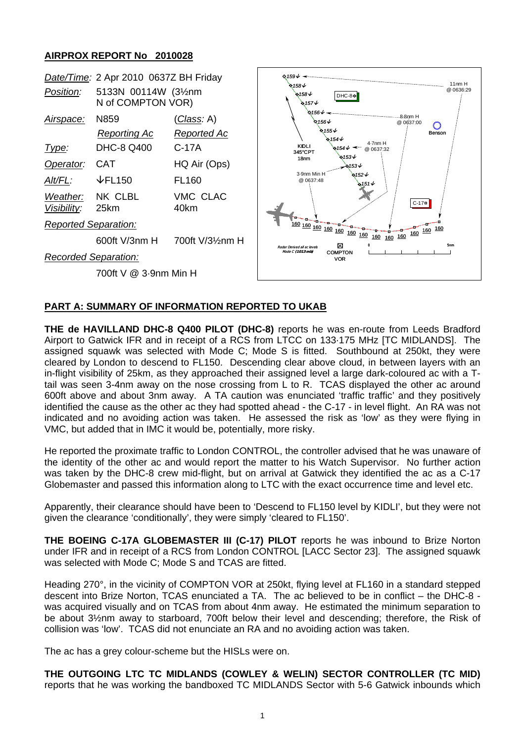## **AIRPROX REPORT No 2010028**



## **PART A: SUMMARY OF INFORMATION REPORTED TO UKAB**

**THE de HAVILLAND DHC-8 Q400 PILOT (DHC-8)** reports he was en-route from Leeds Bradford Airport to Gatwick IFR and in receipt of a RCS from LTCC on 133·175 MHz [TC MIDLANDS]. The assigned squawk was selected with Mode C; Mode S is fitted. Southbound at 250kt, they were cleared by London to descend to FL150. Descending clear above cloud, in between layers with an in-flight visibility of 25km, as they approached their assigned level a large dark-coloured ac with a Ttail was seen 3-4nm away on the nose crossing from L to R. TCAS displayed the other ac around 600ft above and about 3nm away. A TA caution was enunciated 'traffic traffic' and they positively identified the cause as the other ac they had spotted ahead - the C-17 - in level flight. An RA was not indicated and no avoiding action was taken. He assessed the risk as 'low' as they were flying in VMC, but added that in IMC it would be, potentially, more risky.

He reported the proximate traffic to London CONTROL, the controller advised that he was unaware of the identity of the other ac and would report the matter to his Watch Supervisor. No further action was taken by the DHC-8 crew mid-flight, but on arrival at Gatwick they identified the ac as a C-17 Globemaster and passed this information along to LTC with the exact occurrence time and level etc.

Apparently, their clearance should have been to 'Descend to FL150 level by KIDLI', but they were not given the clearance 'conditionally', they were simply 'cleared to FL150'.

**THE BOEING C-17A GLOBEMASTER III (C-17) PILOT** reports he was inbound to Brize Norton under IFR and in receipt of a RCS from London CONTROL [LACC Sector 23]. The assigned squawk was selected with Mode C; Mode S and TCAS are fitted.

Heading 270°, in the vicinity of COMPTON VOR at 250kt, flying level at FL160 in a standard stepped descent into Brize Norton, TCAS enunciated a TA. The ac believed to be in conflict – the DHC-8 was acquired visually and on TCAS from about 4nm away. He estimated the minimum separation to be about 3½nm away to starboard, 700ft below their level and descending; therefore, the Risk of collision was 'low'. TCAS did not enunciate an RA and no avoiding action was taken.

The ac has a grey colour-scheme but the HISLs were on.

**THE OUTGOING LTC TC MIDLANDS (COWLEY & WELIN) SECTOR CONTROLLER (TC MID)**  reports that he was working the bandboxed TC MIDLANDS Sector with 5-6 Gatwick inbounds which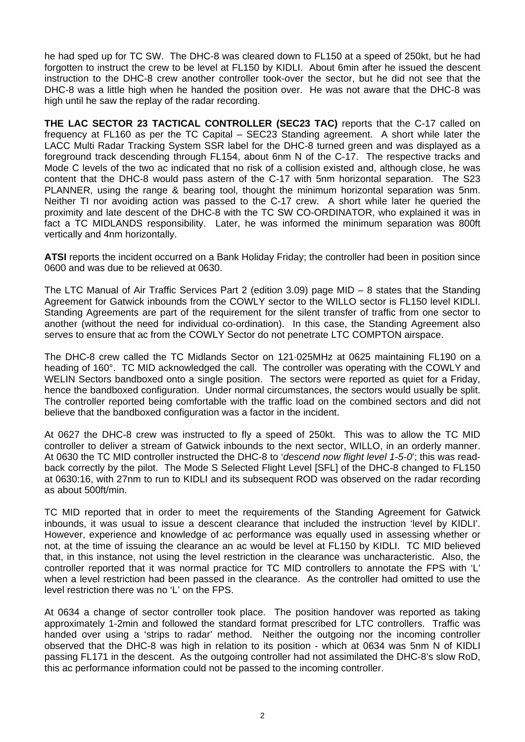he had sped up for TC SW. The DHC-8 was cleared down to FL150 at a speed of 250kt, but he had forgotten to instruct the crew to be level at FL150 by KIDLI. About 6min after he issued the descent instruction to the DHC-8 crew another controller took-over the sector, but he did not see that the DHC-8 was a little high when he handed the position over. He was not aware that the DHC-8 was high until he saw the replay of the radar recording.

**THE LAC SECTOR 23 TACTICAL CONTROLLER (SEC23 TAC)** reports that the C-17 called on frequency at FL160 as per the TC Capital – SEC23 Standing agreement. A short while later the LACC Multi Radar Tracking System SSR label for the DHC-8 turned green and was displayed as a foreground track descending through FL154, about 6nm N of the C-17. The respective tracks and Mode C levels of the two ac indicated that no risk of a collision existed and, although close, he was content that the DHC-8 would pass astern of the C-17 with 5nm horizontal separation. The S23 PLANNER, using the range & bearing tool, thought the minimum horizontal separation was 5nm. Neither TI nor avoiding action was passed to the C-17 crew. A short while later he queried the proximity and late descent of the DHC-8 with the TC SW CO-ORDINATOR, who explained it was in fact a TC MIDLANDS responsibility. Later, he was informed the minimum separation was 800ft vertically and 4nm horizontally.

**ATSI** reports the incident occurred on a Bank Holiday Friday; the controller had been in position since 0600 and was due to be relieved at 0630.

The LTC Manual of Air Traffic Services Part 2 (edition 3.09) page MID – 8 states that the Standing Agreement for Gatwick inbounds from the COWLY sector to the WILLO sector is FL150 level KIDLI. Standing Agreements are part of the requirement for the silent transfer of traffic from one sector to another (without the need for individual co-ordination). In this case, the Standing Agreement also serves to ensure that ac from the COWLY Sector do not penetrate LTC COMPTON airspace.

The DHC-8 crew called the TC Midlands Sector on 121·025MHz at 0625 maintaining FL190 on a heading of 160°. TC MID acknowledged the call. The controller was operating with the COWLY and WELIN Sectors bandboxed onto a single position. The sectors were reported as quiet for a Friday, hence the bandboxed configuration. Under normal circumstances, the sectors would usually be split. The controller reported being comfortable with the traffic load on the combined sectors and did not believe that the bandboxed configuration was a factor in the incident.

At 0627 the DHC-8 crew was instructed to fly a speed of 250kt. This was to allow the TC MID controller to deliver a stream of Gatwick inbounds to the next sector, WILLO, in an orderly manner. At 0630 the TC MID controller instructed the DHC-8 to '*descend now flight level 1-5-0*'; this was readback correctly by the pilot. The Mode S Selected Flight Level [SFL] of the DHC-8 changed to FL150 at 0630:16, with 27nm to run to KIDLI and its subsequent ROD was observed on the radar recording as about 500ft/min.

TC MID reported that in order to meet the requirements of the Standing Agreement for Gatwick inbounds, it was usual to issue a descent clearance that included the instruction 'level by KIDLI'. However, experience and knowledge of ac performance was equally used in assessing whether or not, at the time of issuing the clearance an ac would be level at FL150 by KIDLI. TC MID believed that, in this instance, not using the level restriction in the clearance was uncharacteristic. Also, the controller reported that it was normal practice for TC MID controllers to annotate the FPS with 'L' when a level restriction had been passed in the clearance. As the controller had omitted to use the level restriction there was no 'L' on the FPS.

At 0634 a change of sector controller took place. The position handover was reported as taking approximately 1-2min and followed the standard format prescribed for LTC controllers. Traffic was handed over using a 'strips to radar' method. Neither the outgoing nor the incoming controller observed that the DHC-8 was high in relation to its position - which at 0634 was 5nm N of KIDLI passing FL171 in the descent. As the outgoing controller had not assimilated the DHC-8's slow RoD, this ac performance information could not be passed to the incoming controller.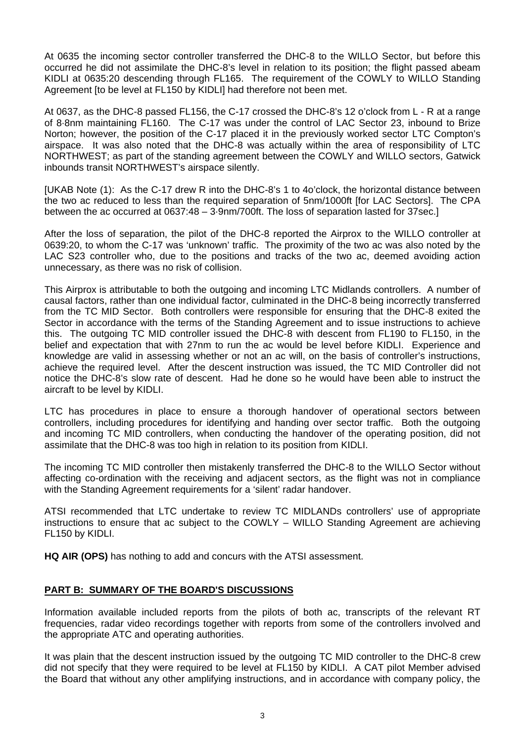At 0635 the incoming sector controller transferred the DHC-8 to the WILLO Sector, but before this occurred he did not assimilate the DHC-8's level in relation to its position; the flight passed abeam KIDLI at 0635:20 descending through FL165. The requirement of the COWLY to WILLO Standing Agreement [to be level at FL150 by KIDLI] had therefore not been met.

At 0637, as the DHC-8 passed FL156, the C-17 crossed the DHC-8's 12 o'clock from L - R at a range of 8·8nm maintaining FL160. The C-17 was under the control of LAC Sector 23, inbound to Brize Norton; however, the position of the C-17 placed it in the previously worked sector LTC Compton's airspace. It was also noted that the DHC-8 was actually within the area of responsibility of LTC NORTHWEST; as part of the standing agreement between the COWLY and WILLO sectors, Gatwick inbounds transit NORTHWEST's airspace silently.

[UKAB Note (1): As the C-17 drew R into the DHC-8's 1 to 4o'clock, the horizontal distance between the two ac reduced to less than the required separation of 5nm/1000ft [for LAC Sectors]. The CPA between the ac occurred at 0637:48 – 3·9nm/700ft. The loss of separation lasted for 37sec.]

After the loss of separation, the pilot of the DHC-8 reported the Airprox to the WILLO controller at 0639:20, to whom the C-17 was 'unknown' traffic. The proximity of the two ac was also noted by the LAC S23 controller who, due to the positions and tracks of the two ac, deemed avoiding action unnecessary, as there was no risk of collision.

This Airprox is attributable to both the outgoing and incoming LTC Midlands controllers. A number of causal factors, rather than one individual factor, culminated in the DHC-8 being incorrectly transferred from the TC MID Sector. Both controllers were responsible for ensuring that the DHC-8 exited the Sector in accordance with the terms of the Standing Agreement and to issue instructions to achieve this. The outgoing TC MID controller issued the DHC-8 with descent from FL190 to FL150, in the belief and expectation that with 27nm to run the ac would be level before KIDLI. Experience and knowledge are valid in assessing whether or not an ac will, on the basis of controller's instructions, achieve the required level. After the descent instruction was issued, the TC MID Controller did not notice the DHC-8's slow rate of descent. Had he done so he would have been able to instruct the aircraft to be level by KIDLI.

LTC has procedures in place to ensure a thorough handover of operational sectors between controllers, including procedures for identifying and handing over sector traffic. Both the outgoing and incoming TC MID controllers, when conducting the handover of the operating position, did not assimilate that the DHC-8 was too high in relation to its position from KIDLI.

The incoming TC MID controller then mistakenly transferred the DHC-8 to the WILLO Sector without affecting co-ordination with the receiving and adjacent sectors, as the flight was not in compliance with the Standing Agreement requirements for a 'silent' radar handover.

ATSI recommended that LTC undertake to review TC MIDLANDs controllers' use of appropriate instructions to ensure that ac subject to the COWLY – WILLO Standing Agreement are achieving FL150 by KIDLI.

**HQ AIR (OPS)** has nothing to add and concurs with the ATSI assessment.

## **PART B: SUMMARY OF THE BOARD'S DISCUSSIONS**

Information available included reports from the pilots of both ac, transcripts of the relevant RT frequencies, radar video recordings together with reports from some of the controllers involved and the appropriate ATC and operating authorities.

It was plain that the descent instruction issued by the outgoing TC MID controller to the DHC-8 crew did not specify that they were required to be level at FL150 by KIDLI. A CAT pilot Member advised the Board that without any other amplifying instructions, and in accordance with company policy, the